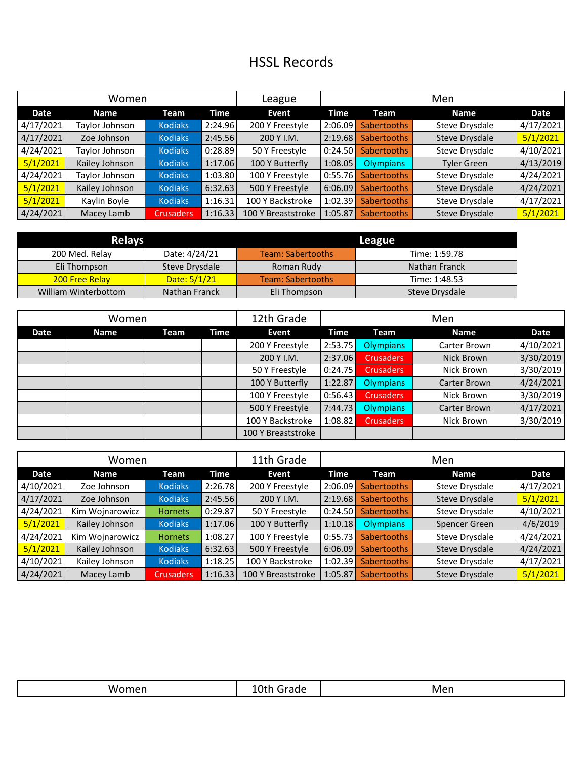## HSSL Records

| Women     |                |                  |         | League             | Men     |                    |                    |           |
|-----------|----------------|------------------|---------|--------------------|---------|--------------------|--------------------|-----------|
| Date      | <b>Name</b>    | Team             | Time    | Event              | Time    | Team               | <b>Name</b>        | Date      |
| 4/17/2021 | Taylor Johnson | <b>Kodiaks</b>   | 2:24.96 | 200 Y Freestyle    | 2:06.09 | <b>Sabertooths</b> | Steve Drysdale     | 4/17/2021 |
| 4/17/2021 | Zoe Johnson    | <b>Kodiaks</b>   | 2:45.56 | 200 Y I.M.         | 2:19.68 | <b>Sabertooths</b> | Steve Drysdale     | 5/1/2021  |
| 4/24/2021 | Taylor Johnson | <b>Kodiaks</b>   | 0:28.89 | 50 Y Freestyle     | 0:24.50 | <b>Sabertooths</b> | Steve Drysdale     | 4/10/2021 |
| 5/1/2021  | Kailey Johnson | <b>Kodiaks</b>   | 1:17.06 | 100 Y Butterfly    | 1:08.05 | <b>Olympians</b>   | <b>Tyler Green</b> | 4/13/2019 |
| 4/24/2021 | Taylor Johnson | <b>Kodiaks</b>   | 1:03.80 | 100 Y Freestyle    | 0:55.76 | <b>Sabertooths</b> | Steve Drysdale     | 4/24/2021 |
| 5/1/2021  | Kailey Johnson | <b>Kodiaks</b>   | 6:32.63 | 500 Y Freestyle    | 6:06.09 | Sabertooths        | Steve Drysdale     | 4/24/2021 |
| 5/1/2021  | Kaylin Boyle   | <b>Kodiaks</b>   | 1:16.31 | 100 Y Backstroke   | 1:02.39 | <b>Sabertooths</b> | Steve Drysdale     | 4/17/2021 |
| 4/24/2021 | Macey Lamb     | <b>Crusaders</b> | 1:16.33 | 100 Y Breaststroke | 1:05.87 | <b>Sabertooths</b> | Steve Drysdale     | 5/1/2021  |

| <b>Relays</b>         |                | League                   |                |  |  |  |
|-----------------------|----------------|--------------------------|----------------|--|--|--|
| 200 Med. Relay        | Date: 4/24/21  | <b>Team: Sabertooths</b> | Time: 1:59.78  |  |  |  |
| Eli Thompson          | Steve Drysdale | Roman Rudy               | Nathan Franck  |  |  |  |
| <b>200 Free Relay</b> | Date: $5/1/21$ | <b>Team: Sabertooths</b> | Time: 1:48.53  |  |  |  |
| William Winterbottom  | Nathan Franck  | Eli Thompson             | Steve Drysdale |  |  |  |

| Women |             |      |      | 12th Grade         | Men     |                  |              |           |
|-------|-------------|------|------|--------------------|---------|------------------|--------------|-----------|
| Date  | <b>Name</b> | Team | Time | Event              | Time    | Team             | <b>Name</b>  | Date      |
|       |             |      |      | 200 Y Freestyle    | 2:53.75 | <b>Olympians</b> | Carter Brown | 4/10/2021 |
|       |             |      |      | 200 Y I.M.         | 2:37.06 | <b>Crusaders</b> | Nick Brown   | 3/30/2019 |
|       |             |      |      | 50 Y Freestyle     | 0:24.75 | <b>Crusaders</b> | Nick Brown   | 3/30/2019 |
|       |             |      |      | 100 Y Butterfly    | 1:22.87 | <b>Olympians</b> | Carter Brown | 4/24/2021 |
|       |             |      |      | 100 Y Freestyle    | 0:56.43 | <b>Crusaders</b> | Nick Brown   | 3/30/2019 |
|       |             |      |      | 500 Y Freestyle    | 7:44.73 | <b>Olympians</b> | Carter Brown | 4/17/2021 |
|       |             |      |      | 100 Y Backstroke   | 1:08.82 | <b>Crusaders</b> | Nick Brown   | 3/30/2019 |
|       |             |      |      | 100 Y Breaststroke |         |                  |              |           |

| Women     |                 |                  |         | 11th Grade         | Men         |                    |                       |           |
|-----------|-----------------|------------------|---------|--------------------|-------------|--------------------|-----------------------|-----------|
| Date      | <b>Name</b>     | Team             | Time    | Event              | <b>Time</b> | Team               | <b>Name</b>           | Date      |
| 4/10/2021 | Zoe Johnson     | <b>Kodiaks</b>   | 2:26.78 | 200 Y Freestyle    | 2:06.09     | Sabertooths        | Steve Drysdale        | 4/17/2021 |
| 4/17/2021 | Zoe Johnson     | <b>Kodiaks</b>   | 2:45.56 | 200 Y I.M.         | 2:19.68     | Sabertooths        | Steve Drysdale        | 5/1/2021  |
| 4/24/2021 | Kim Wojnarowicz | <b>Hornets</b>   | 0:29.87 | 50 Y Freestyle     | 0:24.50     | Sabertooths        | Steve Drysdale        | 4/10/2021 |
| 5/1/2021  | Kailey Johnson  | <b>Kodiaks</b>   | 1:17.06 | 100 Y Butterfly    | 1:10.18     | Olympians          | Spencer Green         | 4/6/2019  |
| 4/24/2021 | Kim Wojnarowicz | <b>Hornets</b>   | 1:08.27 | 100 Y Freestyle    | 0:55.73     | <b>Sabertooths</b> | Steve Drysdale        | 4/24/2021 |
| 5/1/2021  | Kailey Johnson  | <b>Kodiaks</b>   | 6:32.63 | 500 Y Freestyle    | 6:06.09     | Sabertooths        | Steve Drysdale        | 4/24/2021 |
| 4/10/2021 | Kailey Johnson  | <b>Kodiaks</b>   | 1:18.25 | 100 Y Backstroke   | 1:02.39     | Sabertooths        | Steve Drysdale        | 4/17/2021 |
| 4/24/2021 | Macey Lamb      | <b>Crusaders</b> | 1:16.33 | 100 Y Breaststroke | 1:05.87     | <b>Sabertooths</b> | <b>Steve Drysdale</b> | 5/1/2021  |

| W/ | $r \cap N$<br>raue<br>. | Men |
|----|-------------------------|-----|
|----|-------------------------|-----|